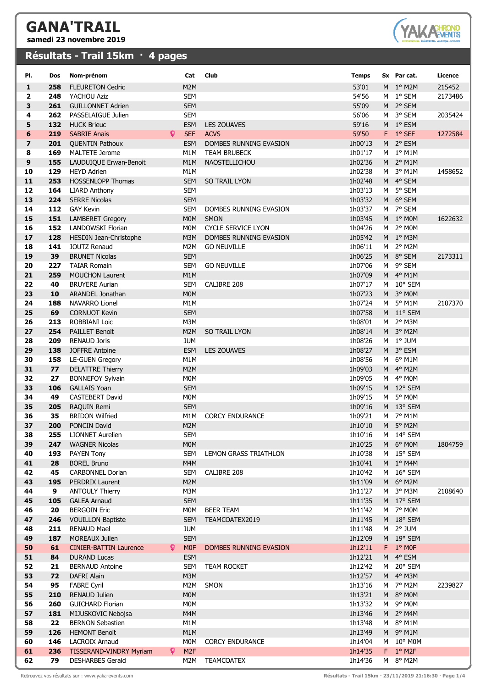## **GANA'TRAIL**

**samedi 23 novembre 2019**

## **Résultats - Trail 15km · 4 pages**



| PI.      | Dos        | Nom-prénom                                           |                  | Cat                      | <b>Club</b>                                         | <b>Temps</b>       |   | Sx Par cat.            | Licence |
|----------|------------|------------------------------------------------------|------------------|--------------------------|-----------------------------------------------------|--------------------|---|------------------------|---------|
| 1        | 258        | <b>FLEURETON Cedric</b>                              |                  | M2M                      |                                                     | 53'01              |   | M <sub>1</sub> ° M2M   | 215452  |
| 2        | 248        | YACHOU Aziz                                          |                  | <b>SEM</b>               |                                                     | 54'56              |   | M 1º SEM               | 2173486 |
| 3        | 261        | <b>GUILLONNET Adrien</b>                             |                  | <b>SEM</b>               |                                                     | 55'09              |   | M 2° SEM               |         |
| 4        | 262        | PASSELAIGUE Julien                                   |                  | <b>SEM</b>               |                                                     | 56'06              |   | M 3° SEM               | 2035424 |
| 5        | 132        | <b>HUCK Brieuc</b>                                   |                  | <b>ESM</b>               | <b>LES ZOUAVES</b>                                  | 59'16              |   | M 1º ESM               |         |
| 6        | 219        | <b>SABRIE Anais</b>                                  | Q.<br><b>SEF</b> |                          | <b>ACVS</b>                                         | 59'50              |   | F 1° SEF               | 1272584 |
| 7        | 201        | <b>QUENTIN Pathoux</b>                               |                  | <b>ESM</b>               | DOMBES RUNNING EVASION                              | 1h00'13            |   | M 2° ESM               |         |
| 8        | 169        | <b>MALTETE Jerome</b>                                |                  | M1M                      | <b>TEAM BRUBECK</b>                                 | 1h01'17            |   | $M1°$ M1M              |         |
| 9        | 155        | LAUDUIQUE Erwan-Benoit                               |                  | M1M                      | NAOSTELLICHOU                                       | 1h02'36            |   | M <sub>2</sub> °M1M    |         |
| 10       | 129        | <b>HEYD Adrien</b>                                   |                  | M1M                      |                                                     | 1h02'38            |   | M <sub>3</sub> ° M1M   | 1458652 |
| 11       | 253        | <b>HOSSENLOPP Thomas</b>                             |                  | <b>SEM</b>               | <b>SO TRAIL LYON</b>                                | 1h02'48            |   | M 4° SEM               |         |
| 12       | 164        | <b>LIARD Anthony</b>                                 |                  | <b>SEM</b>               |                                                     | 1h03'13            |   | M 5° SEM               |         |
| 13       | 224        | <b>SERRE Nicolas</b>                                 |                  | <b>SEM</b>               |                                                     | 1h03'32            |   | M 6° SEM               |         |
| 14       | 112        | <b>GAY Kevin</b>                                     |                  | <b>SEM</b>               | DOMBES RUNNING EVASION                              | 1h03'37            |   | M 7° SEM               |         |
| 15       | 151        | <b>LAMBERET Gregory</b>                              |                  | <b>MOM</b>               | <b>SMON</b>                                         | 1h03'45            |   | M 1° MOM               | 1622632 |
| 16<br>17 | 152<br>128 | LANDOWSKI Florian                                    |                  | M0M<br>M3M               | <b>CYCLE SERVICE LYON</b><br>DOMBES RUNNING EVASION | 1h04'26<br>1h05'42 |   | $M2$ ° MOM<br>M 1º M3M |         |
| 18       | 141        | HESDIN Jean-Christophe<br><b>JOUTZ Renaud</b>        |                  | M2M                      | <b>GO NEUVILLE</b>                                  | 1h06'11            |   | M 2° M2M               |         |
| 19       | 39         | <b>BRUNET Nicolas</b>                                |                  | <b>SEM</b>               |                                                     | 1h06'25            |   | M 8° SEM               | 2173311 |
| 20       | 227        | <b>TAIAR Romain</b>                                  |                  | <b>SEM</b>               | <b>GO NEUVILLE</b>                                  | 1h07'06            |   | M 9° SEM               |         |
| 21       | 259        | <b>MOUCHON Laurent</b>                               |                  | M1M                      |                                                     | 1h07'09            |   | M 4° M1M               |         |
| 22       | 40         | <b>BRUYERE Aurian</b>                                |                  | <b>SEM</b>               | CALIBRE 208                                         | 1h07'17            |   | M 10° SEM              |         |
| 23       | 10         | ARANDEL Jonathan                                     |                  | <b>MOM</b>               |                                                     | 1h07'23            |   | M <sub>3</sub> ° M0M   |         |
| 24       | 188        | <b>NAVARRO Lionel</b>                                |                  | M1M                      |                                                     | 1h07'24            |   | M <sub>5</sub> ° M1M   | 2107370 |
| 25       | 69         | <b>CORNUOT Kevin</b>                                 |                  | <b>SEM</b>               |                                                     | 1h07'58            |   | M 11° SEM              |         |
| 26       | 213        | ROBBIANI Loic                                        |                  | M3M                      |                                                     | 1h08'01            |   | M 2° M3M               |         |
| 27       | 254        | <b>PAILLET Benoit</b>                                |                  | M2M                      | <b>SO TRAIL LYON</b>                                | 1h08'14            |   | M 3° M2M               |         |
| 28       | 209        | <b>RENAUD Joris</b>                                  | <b>JUM</b>       |                          |                                                     | 1h08'26            |   | $M1$ ° JUM             |         |
| 29       | 138        | <b>JOFFRE Antoine</b>                                |                  | <b>ESM</b>               | <b>LES ZOUAVES</b>                                  | 1h08'27            |   | M 3° ESM               |         |
| 30       | 158        | <b>LE-GUEN Gregory</b>                               |                  | M1M                      |                                                     | 1h08'56            |   | $M$ 6° M1M             |         |
| 31       | 77         | <b>DELATTRE Thierry</b>                              |                  | M2M                      |                                                     | 1h09'03            |   | M 4° M2M               |         |
| 32       | 27         | <b>BONNEFOY Sylvain</b>                              |                  | M0M                      |                                                     | 1h09'05            |   | $M$ 4° MOM             |         |
| 33       | 106        | <b>GALLAIS Yoan</b>                                  |                  | <b>SEM</b>               |                                                     | 1h09'15            |   | M 12° SEM<br>M 5° MOM  |         |
| 34<br>35 | 49<br>205  | <b>CASTEBERT David</b><br>RAQUIN Remi                |                  | M0M<br><b>SEM</b>        |                                                     | 1h09'15<br>1h09'16 |   | M 13° SEM              |         |
| 36       | 35         | <b>BRIDON Wilfried</b>                               |                  | M1M                      | <b>CORCY ENDURANCE</b>                              | 1h09'21            |   | $M7°$ M1M              |         |
| 37       | 200        | PONCIN David                                         |                  | M2M                      |                                                     | 1h10'10            |   | M 5° M2M               |         |
| 38       | 255        | <b>LIONNET Aurelien</b>                              |                  | <b>SEM</b>               |                                                     | 1h10'16            |   | M 14° SEM              |         |
| 39       | 247        | <b>WAGNER Nicolas</b>                                |                  | <b>MOM</b>               |                                                     | 1h10'25            | M | 6° MOM                 | 1804759 |
| 40       | 193        | PAYEN Tony                                           |                  | <b>SEM</b>               | LEMON GRASS TRIATHLON                               | 1h10'38            |   | M 15° SEM              |         |
| 41       | 28         | <b>BOREL Bruno</b>                                   |                  | M4M                      |                                                     | 1h10'41            |   | M <sub>1</sub> ° M4M   |         |
| 42       | 45         | <b>CARBONNEL Dorian</b>                              |                  | <b>SEM</b>               | CALIBRE 208                                         | 1h10'42            |   | M 16° SEM              |         |
| 43       | 195        | <b>PERDRIX Laurent</b>                               |                  | M2M                      |                                                     | 1h11'09            |   | M 6° M2M               |         |
| 44       | 9          | <b>ANTOULY Thierry</b>                               |                  | M3M                      |                                                     | 1h11'27            |   | M 3° M3M               | 2108640 |
| 45       | 105        | <b>GALEA Arnaud</b>                                  |                  | <b>SEM</b>               |                                                     | 1h11'35            |   | M 17° SEM              |         |
| 46       | 20         | <b>BERGOIN Eric</b>                                  |                  | M0M                      | <b>BEER TEAM</b>                                    | 1h11'42            |   | $M$ 7° MOM             |         |
| 47       | 246        | <b>VOUILLON Baptiste</b>                             |                  | <b>SEM</b>               | TEAMCOATEX2019                                      | 1h11'45            |   | M 18° SEM              |         |
| 48       | 211        | <b>RENAUD Mael</b>                                   |                  | <b>JUM</b>               |                                                     | 1h11'48            |   | $M2$ ° JUM             |         |
| 49       | 187        | <b>MOREAUX Julien</b>                                |                  | <b>SEM</b>               |                                                     | 1h12'09            |   | M 19° SEM              |         |
| 50<br>51 | 61<br>84   | <b>CINIER-BATTIN Laurence</b><br><b>DURAND Lucas</b> | Q                | <b>MOF</b><br><b>ESM</b> | DOMBES RUNNING EVASION                              | 1h12'11<br>1h12'21 |   | F 1° MOF<br>M 4° ESM   |         |
| 52       | 21         | <b>BERNAUD Antoine</b>                               |                  | <b>SEM</b>               | <b>TEAM ROCKET</b>                                  | 1h12'42            |   | M 20° SEM              |         |
| 53       | 72         | DAFRI Alain                                          |                  | M3M                      |                                                     | 1h12'57            |   | M 4° M3M               |         |
| 54       | 95         | <b>FABRE Cyril</b>                                   |                  | M2M                      | SMON                                                | 1h13'16            |   | M 7° M2M               | 2239827 |
| 55       | 210        | RENAUD Julien                                        |                  | M0M                      |                                                     | 1h13'21            |   | $M$ 8° MOM             |         |
| 56       | 260        | <b>GUICHARD Florian</b>                              |                  | M0M                      |                                                     | 1h13'32            |   | $M9$ MOM               |         |
| 57       | 181        | MIJUSKOVIC Nebojsa                                   |                  | M4M                      |                                                     | 1h13'46            |   | M <sub>2</sub> ° M4M   |         |
| 58       | 22         | <b>BERNON Sebastien</b>                              |                  | M1M                      |                                                     | 1h13'48            |   | $M$ 8° M1M             |         |
| 59       | 126        | <b>HEMONT Benoit</b>                                 |                  | M1M                      |                                                     | 1h13'49            | M | 9° M1M                 |         |
| 60       | 146        | <b>LACROIX Arnaud</b>                                |                  | M0M                      | <b>CORCY ENDURANCE</b>                              | 1h14'04            |   | $M$ 10° M0M            |         |
| 61       | 236        | TISSERAND-VINDRY Myriam                              | Q.               | M <sub>2F</sub>          |                                                     | 1h14'35            |   | $F_1^{\circ}$ M2F      |         |
| 62       | 79         | <b>DESHARBES Gerald</b>                              |                  | M2M                      | <b>TEAMCOATEX</b>                                   | 1h14'36            |   | M 8° M2M               |         |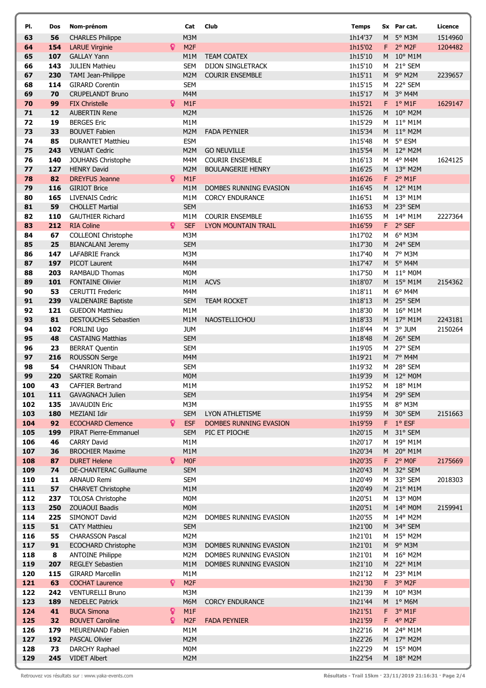| PI.        | Dos        | Nom-prénom                                            |    | Cat               | Club                       | <b>Temps</b>       |                | Sx Par cat.            | Licence |
|------------|------------|-------------------------------------------------------|----|-------------------|----------------------------|--------------------|----------------|------------------------|---------|
| 63         | 56         | <b>CHARLES Philippe</b>                               |    | M3M               |                            | 1h14'37            | M              | 5° M3M                 | 1514960 |
| 64         | 154        | <b>LARUE Virginie</b>                                 | Q  | M <sub>2F</sub>   |                            | 1h15'02            | F.             | $2°$ M <sub>2F</sub>   | 1204482 |
| 65         | 107        | <b>GALLAY Yann</b>                                    |    | M1M               | <b>TEAM COATEX</b>         | 1h15'10            | M              | 10° M1M                |         |
| 66         | 143        | <b>JULIEN Mathieu</b>                                 |    | <b>SEM</b>        | <b>DIJON SINGLETRACK</b>   | 1h15'10            | M              | 21° SEM                |         |
| 67         | 230        | TAMI Jean-Philippe                                    |    | M2M               | <b>COURIR ENSEMBLE</b>     | 1h15'11            |                | M 9° M2M               | 2239657 |
| 68         | 114        | <b>GIRARD Corentin</b>                                |    | <b>SEM</b>        |                            | 1h15'15            |                | M 22° SEM              |         |
| 69         | 70         | <b>CRUPELANDT Bruno</b>                               |    | M4M               |                            | 1h15'17            |                | M 3° M4M               |         |
| 70         | 99         | <b>FIX Christelle</b>                                 | Q. | M1F               |                            | 1h15'21            |                | $F$ 1° M1F             | 1629147 |
| 71         | 12         | <b>AUBERTIN Rene</b>                                  |    | M2M               |                            | 1h15'26            | M              | $10^{\circ}$ M2M       |         |
| 72         | 19         | <b>BERGES Eric</b>                                    |    | M1M               |                            | 1h15'29            | M              | 11° M1M                |         |
| 73<br>74   | 33<br>85   | <b>BOUVET Fabien</b><br><b>DURANTET Matthieu</b>      |    | M2M<br><b>ESM</b> | <b>FADA PEYNIER</b>        | 1h15'34<br>1h15'48 | M              | M 11° M2M<br>5° ESM    |         |
| 75         | 243        | <b>VENUAT Cedric</b>                                  |    | M2M               | <b>GO NEUVILLE</b>         | 1h15'54            |                | M 12° M2M              |         |
| 76         | 140        | JOUHANS Christophe                                    |    | M4M               | <b>COURIR ENSEMBLE</b>     | 1h16'13            | M              | 4° M4M                 | 1624125 |
| 77         | 127        | <b>HENRY David</b>                                    |    | M2M               | <b>BOULANGERIE HENRY</b>   | 1h16'25            |                | M 13° M2M              |         |
| 78         | 82         | <b>DREYFUS Jeanne</b>                                 | Q  | M <sub>1</sub> F  |                            | 1h16'26            |                | $F$ 2° M1F             |         |
| 79         | 116        | <b>GIRIOT Brice</b>                                   |    | M1M               | DOMBES RUNNING EVASION     | 1h16'45            |                | M 12° M1M              |         |
| 80         | 165        | <b>LIVENAIS Cedric</b>                                |    | M1M               | <b>CORCY ENDURANCE</b>     | 1h16'51            |                | M 13° M1M              |         |
| 81         | 59         | <b>CHOLLET Martial</b>                                |    | <b>SEM</b>        |                            | 1h16'53            |                | M 23° SEM              |         |
| 82         | 110        | <b>GAUTHIER Richard</b>                               |    | M1M               | <b>COURIR ENSEMBLE</b>     | 1h16'55            |                | M 14° M1M              | 2227364 |
| 83         | 212        | <b>RIA Coline</b>                                     | Q. | <b>SEF</b>        | <b>LYON MOUNTAIN TRAIL</b> | 1h16'59            | F.             | 2° SEF                 |         |
| 84         | 67         | COLLEONI Christophe                                   |    | M3M               |                            | 1h17'02            | M              | 6° M3M                 |         |
| 85         | 25         | <b>BIANCALANI Jeremy</b>                              |    | <b>SEM</b>        |                            | 1h17'30            | M <sub>1</sub> | 24° SEM                |         |
| 86         | 147        | <b>LAFABRIE Franck</b>                                |    | M3M               |                            | 1h17'40            |                | M 7° M3M               |         |
| 87         | 197        | <b>PICOT Laurent</b>                                  |    | M4M               |                            | 1h17'47            |                | M 5° M4M               |         |
| 88<br>89   | 203<br>101 | <b>RAMBAUD Thomas</b><br><b>FONTAINE Olivier</b>      |    | M0M<br>M1M        | <b>ACVS</b>                | 1h17'50<br>1h18'07 |                | M 11° M0M<br>M 15° M1M | 2154362 |
| 90         | 53         | <b>CERUTTI Frederic</b>                               |    | M4M               |                            | 1h18'11            | M              | 6° M4M                 |         |
| 91         | 239        | <b>VALDENAIRE Baptiste</b>                            |    | <b>SEM</b>        | <b>TEAM ROCKET</b>         | 1h18'13            |                | M 25° SEM              |         |
| 92         | 121        | <b>GUEDON Matthieu</b>                                |    | M <sub>1</sub> M  |                            | 1h18'30            |                | M 16° M1M              |         |
| 93         | 81         | DESTOUCHES Sebastien                                  |    | M1M               | NAOSTELLICHOU              | 1h18'33            |                | M 17° M1M              | 2243181 |
| 94         | 102        | <b>FORLINI Ugo</b>                                    |    | <b>JUM</b>        |                            | 1h18'44            | M              | 3° JUM                 | 2150264 |
| 95         | 48         | <b>CASTAING Matthias</b>                              |    | <b>SEM</b>        |                            | 1h18'48            |                | M 26° SEM              |         |
| 96         | 23         | <b>BERRAT Quentin</b>                                 |    | <b>SEM</b>        |                            | 1h19'05            | M              | 27° SEM                |         |
| 97         | 216        | <b>ROUSSON Serge</b>                                  |    | M4M               |                            | 1h19'21            |                | M 7° M4M               |         |
| 98         | 54         | <b>CHANRION Thibaut</b>                               |    | <b>SEM</b>        |                            | 1h19'32            | M              | 28° SEM                |         |
| 99         | 220        | <b>SARTRE Romain</b>                                  |    | <b>MOM</b>        |                            | 1h19'39            |                | M 12° M0M              |         |
| 100        | 43         | <b>CAFFIER Bertrand</b>                               |    | M1M               |                            | 1h19'52            | M              | 18° M1M                |         |
| 101        | 111        | <b>GAVAGNACH Julien</b>                               |    | <b>SEM</b>        |                            | 1h19'54            |                | M 29° SEM              |         |
| 102<br>103 | 135<br>180 | <b>JAVAUDIN Eric</b><br>MEZIANI Idir                  |    | M3M<br><b>SEM</b> | LYON ATHLETISME            | 1h19'55<br>1h19'59 |                | M 8° M3M<br>M 30° SEM  |         |
| 104        | 92         | <b>ECOCHARD Clemence</b>                              | Q. | <b>ESF</b>        | DOMBES RUNNING EVASION     | 1h19'59            |                | F 1° ESF               | 2151663 |
| 105        | 199        | PIRAT Pierre-Emmanuel                                 |    | <b>SEM</b>        | PIC ET PIOCHE              | 1h20'15            |                | M 31° SEM              |         |
| 106        | 46         | <b>CARRY David</b>                                    |    | M1M               |                            | 1h20'17            | M              | 19° M1M                |         |
| 107        | 36         | <b>BROCHIER Maxime</b>                                |    | M1M               |                            | 1h20'34            |                | M 20° M1M              |         |
| 108        | 87         | <b>DURET Helene</b>                                   | Q  | M <sub>0F</sub>   |                            | 1h20'35            | F.             | 2° MOF                 | 2175669 |
| 109        | 74         | DE-CHANTERAC Guillaume                                |    | <b>SEM</b>        |                            | 1h20'43            | M              | 32° SEM                |         |
| 110        | 11         | ARNAUD Remi                                           |    | <b>SEM</b>        |                            | 1h20'49            | M              | 33° SEM                | 2018303 |
| 111        | 57         | <b>CHARVET Christophe</b>                             |    | M1M               |                            | 1h20'49            |                | M 21° M1M              |         |
| 112        | 237        | TOLOSA Christophe                                     |    | M0M               |                            | 1h20'51            |                | M 13° M0M              |         |
| 113        | 250        | ZOUAOUI Baadis                                        |    | <b>MOM</b>        |                            | 1h20'51            |                | M 14° M0M              | 2159941 |
| 114        | 225        | SIMONOT David                                         |    | M2M               | DOMBES RUNNING EVASION     | 1h20'55            | M              | 14° M2M                |         |
| 115<br>116 | 51         | <b>CATY Matthieu</b>                                  |    | <b>SEM</b><br>M2M |                            | 1h21'00<br>1h21'01 |                | M 34° SEM              |         |
| 117        | 55<br>91   | <b>CHARASSON Pascal</b><br><b>ECOCHARD Christophe</b> |    | M3M               | DOMBES RUNNING EVASION     | 1h21'01            |                | M 15° M2M<br>M 9° M3M  |         |
| 118        | 8          | <b>ANTOINE Philippe</b>                               |    | M2M               | DOMBES RUNNING EVASION     | 1h21'01            |                | M 16° M2M              |         |
| 119        | 207        | <b>REGLEY Sebastien</b>                               |    | M1M               | DOMBES RUNNING EVASION     | 1h21'10            |                | M 22° M1M              |         |
| 120        | 115        | <b>GIRARD Marcellin</b>                               |    | M1M               |                            | 1h21'12            | M              | 23° M1M                |         |
| 121        | 63         | <b>COCHAT Laurence</b>                                | Q. | M <sub>2F</sub>   |                            | 1h21'30            | $F -$          | 3° M2F                 |         |
| 122        | 242        | <b>VENTURELLI Bruno</b>                               |    | M3M               |                            | 1h21'39            | M              | 10° M3M                |         |
| 123        | 189        | <b>NEDELEC Patrick</b>                                |    | M6M               | <b>CORCY ENDURANCE</b>     | 1h21'44            |                | M 1° M6M               |         |
| 124        | 41         | <b>BUCA Simona</b>                                    | Q  | M1F               |                            | 1h21'51            | F.             | 3° M1F                 |         |
| 125        | 32         | <b>BOUVET Caroline</b>                                | Q  | M <sub>2F</sub>   | <b>FADA PEYNIER</b>        | 1h21'59            | F.             | $4°$ M <sub>2F</sub>   |         |
| 126        | 179        | MEURENAND Fabien                                      |    | M1M               |                            | 1h22'16            | M              | 24° M1M                |         |
| 127        | 192        | PASCAL Olivier                                        |    | M2M               |                            | 1h22'26            |                | M 17° M2M              |         |
| 128        | 73         | DARCHY Raphael                                        |    | M0M               |                            | 1h22'29            |                | M 15° M0M              |         |
| 129        | 245        | <b>VIDET Albert</b>                                   |    | M2M               |                            | 1h22'54            |                | M 18° M2M              |         |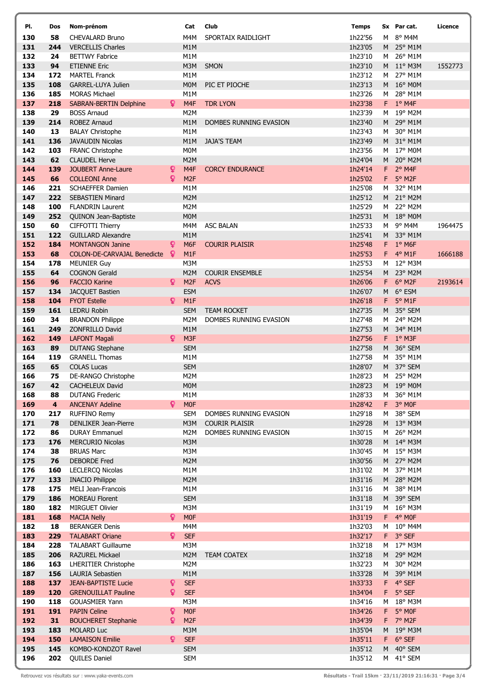| PI.        | Dos                     | Nom-prénom                                   |    | Cat                     | Club                   | <b>Temps</b>       |         | Sx Par cat.             | Licence |
|------------|-------------------------|----------------------------------------------|----|-------------------------|------------------------|--------------------|---------|-------------------------|---------|
| 130        | 58                      | <b>CHEVALARD Bruno</b>                       |    | M4M                     | SPORTAIX RAIDLIGHT     | 1h22'56            | M       | 8° M4M                  |         |
| 131        | 244                     | <b>VERCELLIS Charles</b>                     |    | M1M                     |                        | 1h23'05            |         | M 25° M1M               |         |
| 132        | 24                      | <b>BETTWY Fabrice</b>                        |    | M1M                     |                        | 1h23'10            | M       | 26° M1M                 |         |
| 133        | 94                      | <b>ETIENNE Eric</b>                          |    | M3M                     | SMON                   | 1h23'10            |         | M 11° M3M               | 1552773 |
| 134        | 172                     | <b>MARTEL Franck</b>                         |    | M1M                     |                        | 1h23'12            |         | M 27° M1M               |         |
| 135        | 108                     | GARREL-LUYA Julien                           |    | M <sub>0</sub> M        | PIC ET PIOCHE          | 1h23'13            |         | M 16° M0M               |         |
| 136        | 185                     | <b>MORAS Michael</b>                         |    | M1M                     |                        | 1h23'26            | M       | 28° M1M                 |         |
| 137        | 218                     | <b>SABRAN-BERTIN Delphine</b>                | Q  | M4F                     | <b>TDR LYON</b>        | 1h23'38            |         | $F$ 1° M4F              |         |
| 138        | 29                      | <b>BOSS Arnaud</b>                           |    | M2M                     |                        | 1h23'39            | M       | 19° M2M                 |         |
| 139        | 214                     | <b>ROBEZ Arnaud</b>                          |    | M1M                     | DOMBES RUNNING EVASION | 1h23'40            | M       | 29° M1M                 |         |
| 140        | 13                      | <b>BALAY Christophe</b>                      |    | M1M                     |                        | 1h23'43            | M       | 30° M1M                 |         |
| 141        | 136                     | <b>JAVAUDIN Nicolas</b>                      |    | M1M                     | <b>JAJA'S TEAM</b>     | 1h23'49            | M       | 31° M1M                 |         |
| 142<br>143 | 103<br>62               | FRANC Christophe<br><b>CLAUDEL Herve</b>     |    | M <sub>0</sub> M<br>M2M |                        | 1h23'56<br>1h24'04 | M<br>M  | 17° M0M<br>20° M2M      |         |
| 144        | 139                     | <b>JOUBERT Anne-Laure</b>                    | ò  | M4F                     | <b>CORCY ENDURANCE</b> | 1h24'14            | F.      | 2° M4F                  |         |
| 145        | 66                      | <b>COLLEONI Anne</b>                         | Q  | M <sub>2F</sub>         |                        | 1h25'02            | F.      | 5° M2F                  |         |
| 146        | 221                     | <b>SCHAEFFER Damien</b>                      |    | M1M                     |                        | 1h25'08            | М       | 32° M1M                 |         |
| 147        | 222                     | <b>SEBASTIEN Minard</b>                      |    | M <sub>2</sub> M        |                        | 1h25'12            |         | M 21° M2M               |         |
| 148        | 100                     | <b>FLANDRIN Laurent</b>                      |    | M2M                     |                        | 1h25'29            | M       | 22° M2M                 |         |
| 149        | 252                     | QUINON Jean-Baptiste                         |    | <b>MOM</b>              |                        | 1h25'31            |         | M 18° M0M               |         |
| 150        | 60                      | CIFFOTTI Thierry                             |    | M4M                     | <b>ASC BALAN</b>       | 1h25'33            | M       | $9°$ M4M                | 1964475 |
| 151        | 122                     | <b>GUILLARD Alexandre</b>                    |    | M1M                     |                        | 1h25'41            | M       | 33° M1M                 |         |
| 152        | 184                     | <b>MONTANGON Janine</b>                      | ₽  | M <sub>6F</sub>         | <b>COURIR PLAISIR</b>  | 1h25'48            |         | $F = 1°$ M6F            |         |
| 153        | 68                      | <b>COLON-DE-CARVAJAL Benedicte</b>           | ıQ | M1F                     |                        | 1h25'53            | F.      | 4° M1F                  | 1666188 |
| 154        | 178                     | <b>MEUNIER Guy</b>                           |    | M3M                     |                        | 1h25'53            | M       | 12° M3M                 |         |
| 155        | 64                      | <b>COGNON Gerald</b>                         |    | M <sub>2</sub> M        | <b>COURIR ENSEMBLE</b> | 1h25'54            | M       | 23° M2M                 |         |
| 156        | 96                      | <b>FACCIO Karine</b>                         | Q. | M <sub>2F</sub>         | <b>ACVS</b>            | 1h26'06            | F.      | 6° M2F                  | 2193614 |
| 157        | 134                     | JACQUET Bastien                              |    | <b>ESM</b>              |                        | 1h26'07            |         | M 6° ESM                |         |
| 158        | 104                     | <b>FYOT Estelle</b>                          | Q  | M1F                     |                        | 1h26'18            | F.      | $5^{\circ}$ M1F         |         |
| 159        | 161                     | <b>LEDRU Robin</b>                           |    | <b>SEM</b>              | <b>TEAM ROCKET</b>     | 1h27'35            | M       | 35° SEM                 |         |
| 160        | 34                      | <b>BRANDON Philippe</b>                      |    | M2M                     | DOMBES RUNNING EVASION | 1h27'48            | M       | 24° M2M                 |         |
| 161<br>162 | 249<br>149              | ZONFRILLO David<br><b>LAFONT Magali</b>      | Q. | M1M<br>M <sub>3F</sub>  |                        | 1h27'53<br>1h27'56 |         | M 34° M1M<br>$F$ 1° M3F |         |
| 163        | 89                      | <b>DUTANG Stephane</b>                       |    | <b>SEM</b>              |                        | 1h27'58            | M       | 36° SEM                 |         |
| 164        | 119                     | <b>GRANELL Thomas</b>                        |    | M1M                     |                        | 1h27'58            | M       | 35° M1M                 |         |
| 165        | 65                      | <b>COLAS Lucas</b>                           |    | <b>SEM</b>              |                        | 1h28'07            | M       | 37° SEM                 |         |
| 166        | 75                      | DE-RANGO Christophe                          |    | M2M                     |                        | 1h28'23            | M       | 25° M2M                 |         |
| 167        | 42                      | <b>CACHELEUX David</b>                       |    | <b>MOM</b>              |                        | 1h28'23            |         | M 19° M0M               |         |
| 168        | 88                      | <b>DUTANG Frederic</b>                       |    | M1M                     |                        | 1h28'33            | M       | 36° M1M                 |         |
| 169        | $\overline{\mathbf{4}}$ | <b>ANCENAY Adeline</b>                       | Q. | <b>MOF</b>              |                        | 1h28'42            | F.      | 3° MOF                  |         |
| 170        | 217                     | <b>RUFFINO Remy</b>                          |    | <b>SEM</b>              | DOMBES RUNNING EVASION | 1h29'18            | M       | 38° SEM                 |         |
| 171        | 78                      | DENLIKER Jean-Pierre                         |    | M3M                     | <b>COURIR PLAISIR</b>  | 1h29'28            |         | M 13° M3M               |         |
| 172        | 86                      | <b>DURAY Emmanuel</b>                        |    | M2M                     | DOMBES RUNNING EVASION | 1h30'15            | M       | 26° M2M                 |         |
| 173        | 176                     | <b>MERCURIO Nicolas</b>                      |    | M3M                     |                        | 1h30'28            |         | M 14° M3M               |         |
| 174        | 38                      | <b>BRUAS Marc</b>                            |    | M3M                     |                        | 1h30'45            |         | M 15° M3M               |         |
| 175        | 76                      | <b>DEBORDE Fred</b>                          |    | M <sub>2</sub> M        |                        | 1h30'56            |         | M 27° M2M               |         |
| 176        | 160                     | <b>LECLERCQ Nicolas</b>                      |    | M1M                     |                        | 1h31'02            | M       | 37° M1M                 |         |
| 177<br>178 | 133<br>175              | <b>INACIO Philippe</b><br>MELI Jean-Francois |    | M2M<br>M1M              |                        | 1h31'16<br>1h31'16 | M       | M 28° M2M<br>38° M1M    |         |
| 179        | 186                     | <b>MOREAU Florent</b>                        |    | <b>SEM</b>              |                        | 1h31'18            | M       | 39° SEM                 |         |
| 180        | 182                     | MIRGUET Olivier                              |    | M3M                     |                        | 1h31'19            | M       | $16^{\circ}$ M3M        |         |
| 181        | 168                     | <b>MACIA Nelly</b>                           | Q. | M <sub>OF</sub>         |                        | 1h31'19            | F.      | 4° MOF                  |         |
| 182        | 18                      | <b>BERANGER Denis</b>                        |    | M4M                     |                        | 1h32'03            | M       | 10° M4M                 |         |
| 183        | 229                     | <b>TALABART Oriane</b>                       | Q  | <b>SEF</b>              |                        | 1h32'17            | F.      | 3° SEF                  |         |
| 184        | 228                     | <b>TALABART Guillaume</b>                    |    | M3M                     |                        | 1h32'18            | M       | 17° M3M                 |         |
| 185        | 206                     | RAZUREL Mickael                              |    | M2M                     | <b>TEAM COATEX</b>     | 1h32'18            |         | M 29° M2M               |         |
| 186        | 163                     | <b>LHERITIER Christophe</b>                  |    | M2M                     |                        | 1h32'23            | M       | 30° M2M                 |         |
| 187        | 156                     | LAURIA Sebastien                             |    | M1M                     |                        | 1h33'28            | M       | 39° M1M                 |         |
| 188        | 137                     | <b>JEAN-BAPTISTE Lucie</b>                   | Q. | <b>SEF</b>              |                        | 1h33'33            | F       | 4° SEF                  |         |
| 189        | 120                     | <b>GRENOUILLAT Pauline</b>                   | Q. | <b>SEF</b>              |                        | 1h34'04            | F.      | 5° SEF                  |         |
| 190        | 118                     | <b>GOUASMIER Yann</b>                        |    | M3M                     |                        | 1h34'16            | м       | 18° M3M                 |         |
| 191        | 191                     | <b>PAPIN Celine</b>                          | Q  | M <sub>OF</sub>         |                        | 1h34'26            | F.      | 5° MOF                  |         |
| 192        | 31                      | <b>BOUCHERET Stephanie</b>                   | Q  | M <sub>2F</sub>         |                        | 1h34'39            |         | F 7° M2F                |         |
| 193<br>194 | 183                     | <b>MOLARD Luc</b><br><b>LAMAISON Emilie</b>  | Q. | M3M<br><b>SEF</b>       |                        | 1h35'04<br>1h35'11 |         | M 19° M3M<br>6° SEF     |         |
| 195        | 150<br>145              | KOMBO-KONDZOT Ravel                          |    | <b>SEM</b>              |                        | 1h35'12            | F.<br>M | 40° SEM                 |         |
| 196        | 202                     | QUILES Daniel                                |    | <b>SEM</b>              |                        | 1h35'12            |         | M 41° SEM               |         |
|            |                         |                                              |    |                         |                        |                    |         |                         |         |